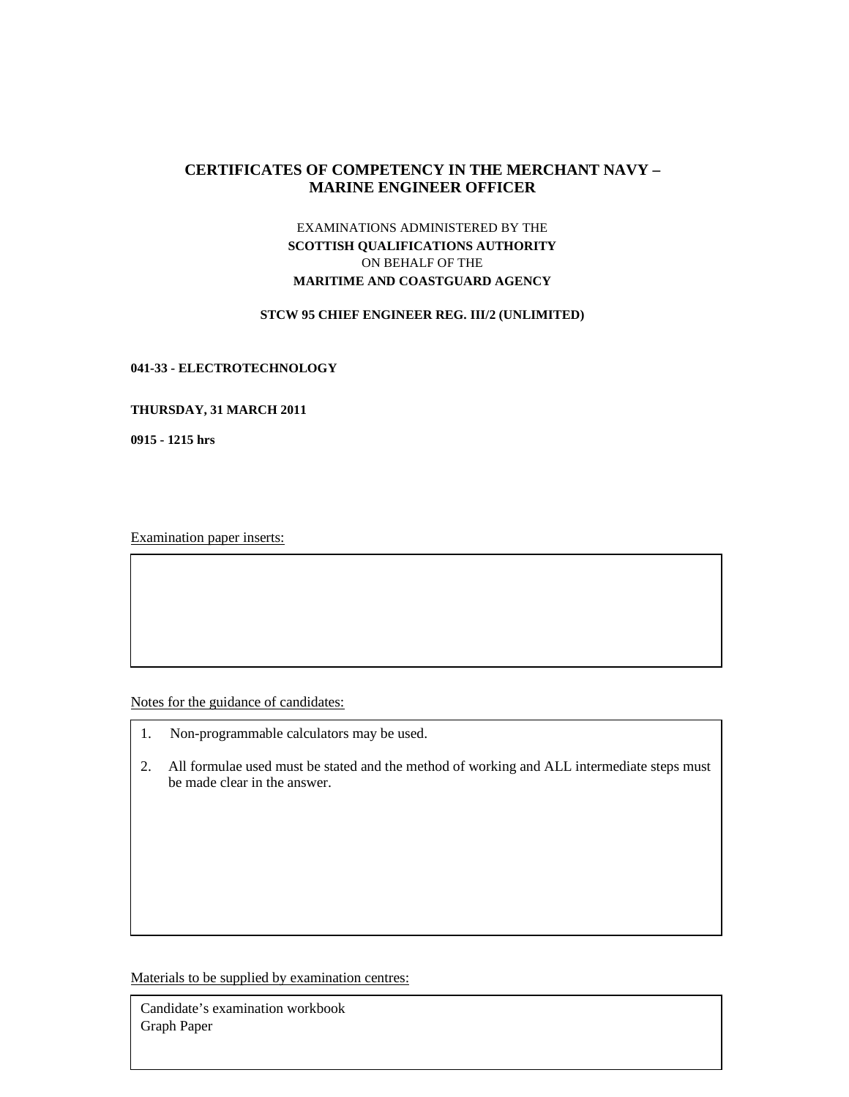# **CERTIFICATES OF COMPETENCY IN THE MERCHANT NAVY – MARINE ENGINEER OFFICER**

# EXAMINATIONS ADMINISTERED BY THE **SCOTTISH QUALIFICATIONS AUTHORITY**  ON BEHALF OF THE **MARITIME AND COASTGUARD AGENCY**

### **STCW 95 CHIEF ENGINEER REG. III/2 (UNLIMITED)**

## **041-33 - ELECTROTECHNOLOGY**

#### **THURSDAY, 31 MARCH 2011**

**0915 - 1215 hrs** 

Examination paper inserts:

Notes for the guidance of candidates:

- 1. Non-programmable calculators may be used.
- 2. All formulae used must be stated and the method of working and ALL intermediate steps must be made clear in the answer.

Materials to be supplied by examination centres:

Candidate's examination workbook Graph Paper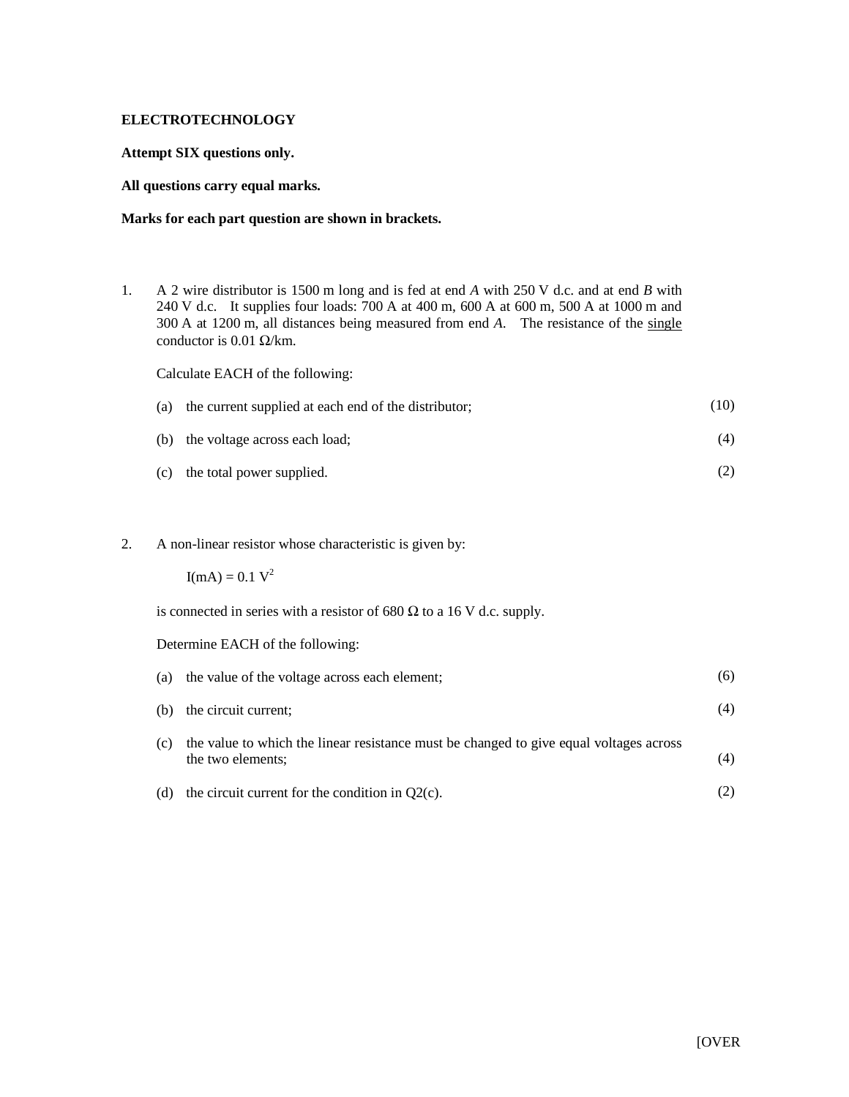# **ELECTROTECHNOLOGY**

**Attempt SIX questions only.** 

### **All questions carry equal marks.**

# **Marks for each part question are shown in brackets.**

1. A 2 wire distributor is 1500 m long and is fed at end *A* with 250 V d.c. and at end *B* with 240 V d.c. It supplies four loads: 700 A at 400 m, 600 A at 600 m, 500 A at 1000 m and 300 A at 1200 m, all distances being measured from end *A*. The resistance of the single conductor is 0.01  $\Omega$ /km.

Calculate EACH of the following:

| (a) the current supplied at each end of the distributor; | (10) |
|----------------------------------------------------------|------|
| (b) the voltage across each load;                        | (4)  |

- (c) the total power supplied. (2)
- 2. A non-linear resistor whose characteristic is given by:

 $I(mA) = 0.1 V^2$ 

is connected in series with a resistor of 680  $\Omega$  to a 16 V d.c. supply.

Determine EACH of the following:

| (a) | the value of the voltage across each element;                                                               | (6) |
|-----|-------------------------------------------------------------------------------------------------------------|-----|
| (b) | the circuit current;                                                                                        | (4) |
| (c) | the value to which the linear resistance must be changed to give equal voltages across<br>the two elements; | (4) |
| (d) | the circuit current for the condition in $Q2(c)$ .                                                          |     |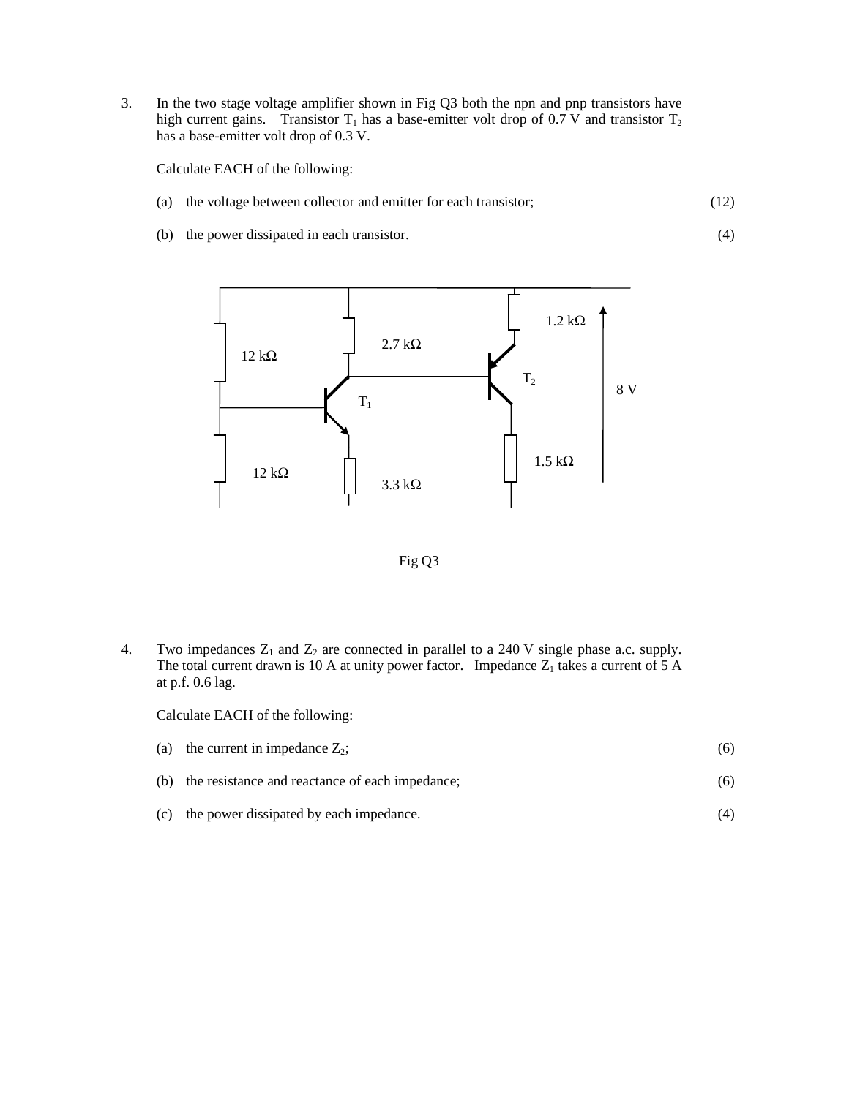3. In the two stage voltage amplifier shown in Fig Q3 both the npn and pnp transistors have high current gains. Transistor  $T_1$  has a base-emitter volt drop of 0.7 V and transistor  $T_2$ has a base-emitter volt drop of 0.3 V.

Calculate EACH of the following:

- (a) the voltage between collector and emitter for each transistor; (12)
- (b) the power dissipated in each transistor.





4. Two impedances  $Z_1$  and  $Z_2$  are connected in parallel to a 240 V single phase a.c. supply. The total current drawn is 10 A at unity power factor. Impedance  $Z_1$  takes a current of 5 A at p.f. 0.6 lag.

Calculate EACH of the following:

| (a) the current in impedance $Z_2$ ;                | (6) |
|-----------------------------------------------------|-----|
| (b) the resistance and reactance of each impedance: | (6) |
| (c) the power dissipated by each impedance.         |     |

(4)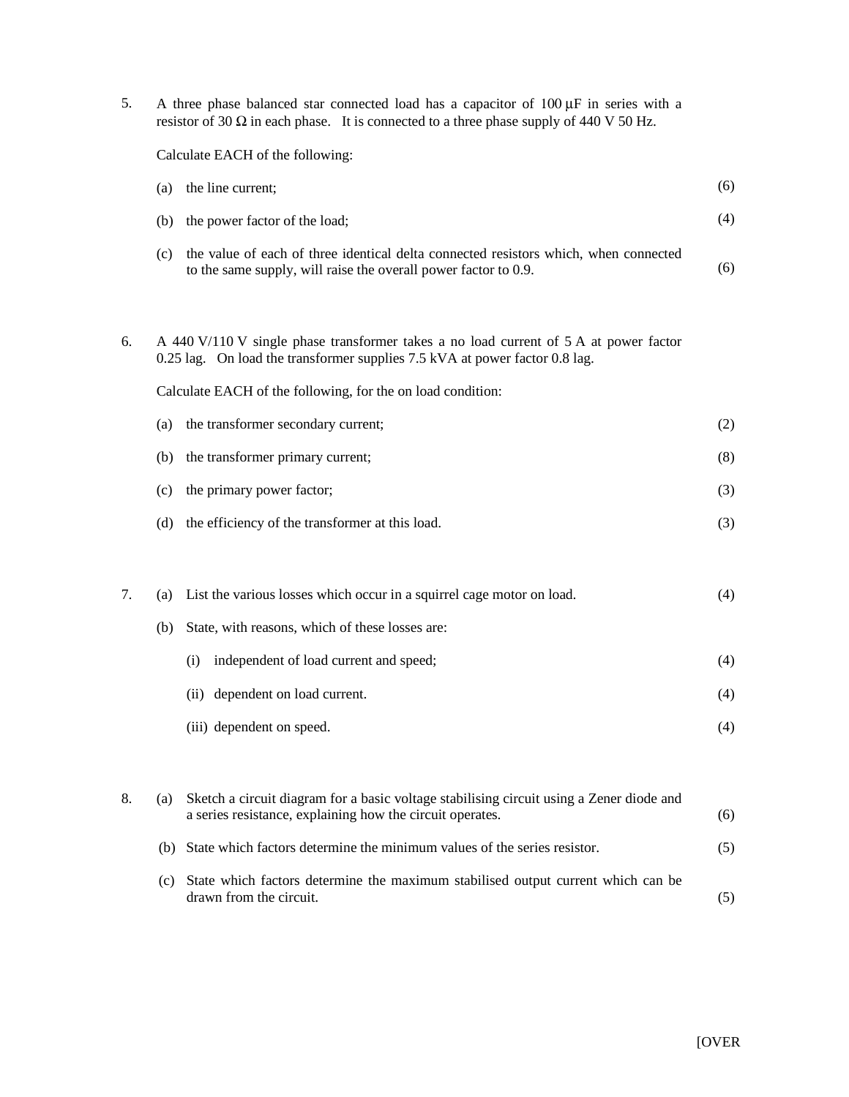| 5. | A three phase balanced star connected load has a capacitor of $100 \mu F$ in series with a<br>resistor of 30 $\Omega$ in each phase. It is connected to a three phase supply of 440 V 50 Hz. |                                                                                                                                                                      |     |  |  |
|----|----------------------------------------------------------------------------------------------------------------------------------------------------------------------------------------------|----------------------------------------------------------------------------------------------------------------------------------------------------------------------|-----|--|--|
|    | Calculate EACH of the following:                                                                                                                                                             |                                                                                                                                                                      |     |  |  |
|    | (a)                                                                                                                                                                                          | the line current;                                                                                                                                                    | (6) |  |  |
|    | (b)                                                                                                                                                                                          | the power factor of the load;                                                                                                                                        | (4) |  |  |
|    | (c)                                                                                                                                                                                          | the value of each of three identical delta connected resistors which, when connected<br>to the same supply, will raise the overall power factor to 0.9.              | (6) |  |  |
| 6. |                                                                                                                                                                                              | A 440 V/110 V single phase transformer takes a no load current of 5 A at power factor<br>0.25 lag. On load the transformer supplies 7.5 kVA at power factor 0.8 lag. |     |  |  |
|    |                                                                                                                                                                                              | Calculate EACH of the following, for the on load condition:                                                                                                          |     |  |  |
|    | (a)                                                                                                                                                                                          | the transformer secondary current;                                                                                                                                   | (2) |  |  |
|    | (b)                                                                                                                                                                                          | the transformer primary current;                                                                                                                                     | (8) |  |  |
|    | (c)                                                                                                                                                                                          | the primary power factor;                                                                                                                                            | (3) |  |  |
|    | (d)                                                                                                                                                                                          | the efficiency of the transformer at this load.                                                                                                                      | (3) |  |  |
| 7. | (a)                                                                                                                                                                                          | List the various losses which occur in a squirrel cage motor on load.                                                                                                | (4) |  |  |
|    | (b)                                                                                                                                                                                          | State, with reasons, which of these losses are:                                                                                                                      |     |  |  |
|    |                                                                                                                                                                                              | independent of load current and speed;<br>(i)                                                                                                                        | (4) |  |  |
|    |                                                                                                                                                                                              | (ii) dependent on load current.                                                                                                                                      | (4) |  |  |
|    |                                                                                                                                                                                              | (iii) dependent on speed.                                                                                                                                            | (4) |  |  |
|    |                                                                                                                                                                                              |                                                                                                                                                                      |     |  |  |
| 8. | (a)                                                                                                                                                                                          | Sketch a circuit diagram for a basic voltage stabilising circuit using a Zener diode and<br>a series resistance, explaining how the circuit operates.                | (6) |  |  |
|    | (b)                                                                                                                                                                                          | State which factors determine the minimum values of the series resistor.                                                                                             | (5) |  |  |
|    | (c)                                                                                                                                                                                          | State which factors determine the maximum stabilised output current which can be<br>drawn from the circuit.                                                          | (5) |  |  |